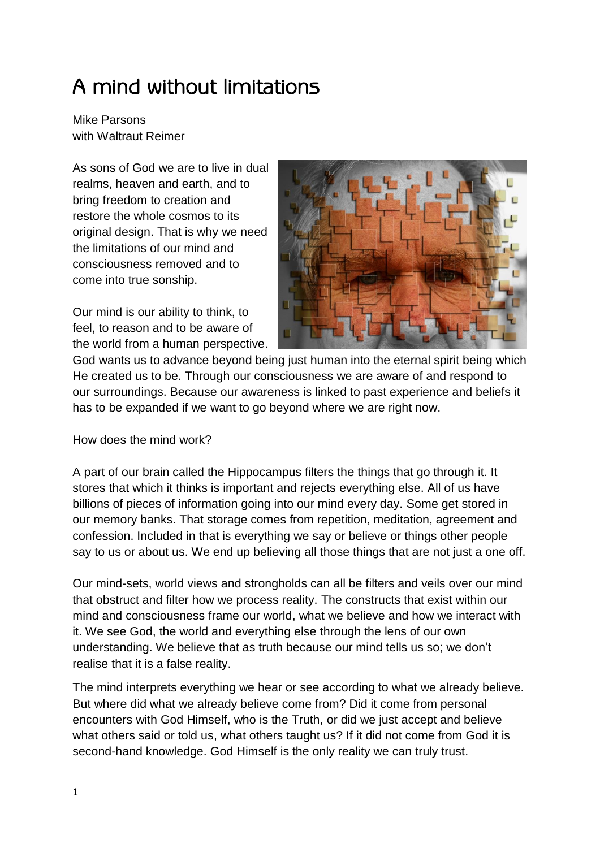## A mind without limitations

Mike Parsons with Waltraut Reimer

As sons of God we are to live in dual realms, heaven and earth, and to bring freedom to creation and restore the whole cosmos to its original design. That is why we need the limitations of our mind and consciousness removed and to come into true sonship.

Our mind is our ability to think, to feel, to reason and to be aware of the world from a human perspective.



God wants us to advance beyond being just human into the eternal spirit being which He created us to be. Through our consciousness we are aware of and respond to our surroundings. Because our awareness is linked to past experience and beliefs it has to be expanded if we want to go beyond where we are right now.

How does the mind work?

A part of our brain called the Hippocampus filters the things that go through it. It stores that which it thinks is important and rejects everything else. All of us have billions of pieces of information going into our mind every day. Some get stored in our memory banks. That storage comes from repetition, meditation, agreement and confession. Included in that is everything we say or believe or things other people say to us or about us. We end up believing all those things that are not just a one off.

Our mind-sets, world views and strongholds can all be filters and veils over our mind that obstruct and filter how we process reality. The constructs that exist within our mind and consciousness frame our world, what we believe and how we interact with it. We see God, the world and everything else through the lens of our own understanding. We believe that as truth because our mind tells us so; we don't realise that it is a false reality.

The mind interprets everything we hear or see according to what we already believe. But where did what we already believe come from? Did it come from personal encounters with God Himself, who is the Truth, or did we just accept and believe what others said or told us, what others taught us? If it did not come from God it is second-hand knowledge. God Himself is the only reality we can truly trust.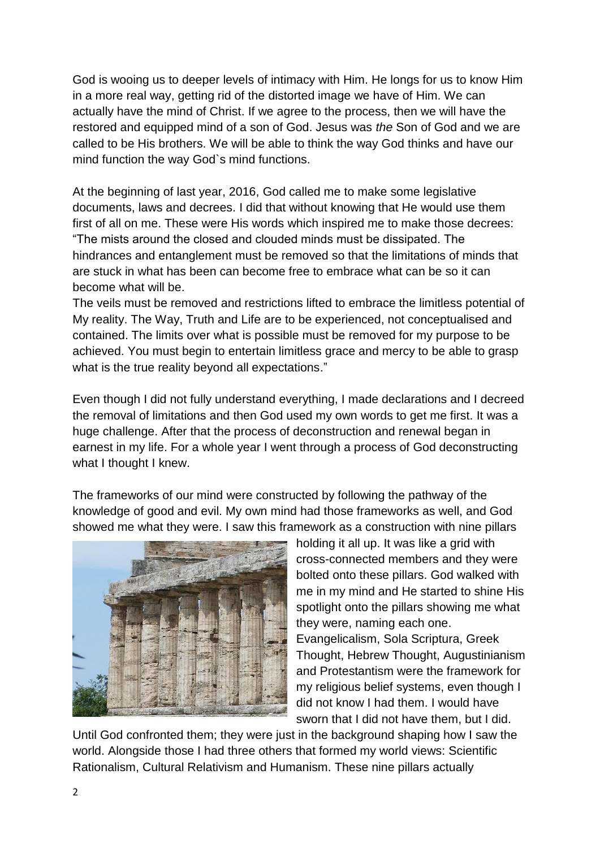God is wooing us to deeper levels of intimacy with Him. He longs for us to know Him in a more real way, getting rid of the distorted image we have of Him. We can actually have the mind of Christ. If we agree to the process, then we will have the restored and equipped mind of a son of God. Jesus was *the* Son of God and we are called to be His brothers. We will be able to think the way God thinks and have our mind function the way God`s mind functions.

At the beginning of last year, 2016, God called me to make some legislative documents, laws and decrees. I did that without knowing that He would use them first of all on me. These were His words which inspired me to make those decrees: "The mists around the closed and clouded minds must be dissipated. The hindrances and entanglement must be removed so that the limitations of minds that are stuck in what has been can become free to embrace what can be so it can become what will be.

The veils must be removed and restrictions lifted to embrace the limitless potential of My reality. The Way, Truth and Life are to be experienced, not conceptualised and contained. The limits over what is possible must be removed for my purpose to be achieved. You must begin to entertain limitless grace and mercy to be able to grasp what is the true reality beyond all expectations."

Even though I did not fully understand everything, I made declarations and I decreed the removal of limitations and then God used my own words to get me first. It was a huge challenge. After that the process of deconstruction and renewal began in earnest in my life. For a whole year I went through a process of God deconstructing what I thought I knew.

The frameworks of our mind were constructed by following the pathway of the knowledge of good and evil. My own mind had those frameworks as well, and God showed me what they were. I saw this framework as a construction with nine pillars



holding it all up. It was like a grid with cross-connected members and they were bolted onto these pillars. God walked with me in my mind and He started to shine His spotlight onto the pillars showing me what they were, naming each one. Evangelicalism, Sola Scriptura, Greek Thought, Hebrew Thought, Augustinianism and Protestantism were the framework for my religious belief systems, even though I did not know I had them. I would have sworn that I did not have them, but I did.

Until God confronted them; they were just in the background shaping how I saw the world. Alongside those I had three others that formed my world views: Scientific Rationalism, Cultural Relativism and Humanism. These nine pillars actually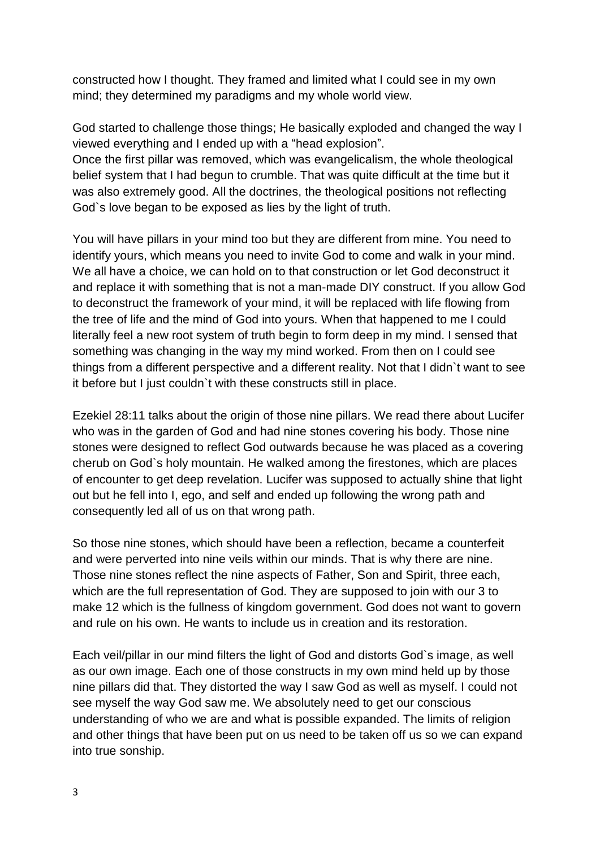constructed how I thought. They framed and limited what I could see in my own mind; they determined my paradigms and my whole world view.

God started to challenge those things; He basically exploded and changed the way I viewed everything and I ended up with a "head explosion".

Once the first pillar was removed, which was evangelicalism, the whole theological belief system that I had begun to crumble. That was quite difficult at the time but it was also extremely good. All the doctrines, the theological positions not reflecting God`s love began to be exposed as lies by the light of truth.

You will have pillars in your mind too but they are different from mine. You need to identify yours, which means you need to invite God to come and walk in your mind. We all have a choice, we can hold on to that construction or let God deconstruct it and replace it with something that is not a man-made DIY construct. If you allow God to deconstruct the framework of your mind, it will be replaced with life flowing from the tree of life and the mind of God into yours. When that happened to me I could literally feel a new root system of truth begin to form deep in my mind. I sensed that something was changing in the way my mind worked. From then on I could see things from a different perspective and a different reality. Not that I didn`t want to see it before but I just couldn`t with these constructs still in place.

Ezekiel 28:11 talks about the origin of those nine pillars. We read there about Lucifer who was in the garden of God and had nine stones covering his body. Those nine stones were designed to reflect God outwards because he was placed as a covering cherub on God`s holy mountain. He walked among the firestones, which are places of encounter to get deep revelation. Lucifer was supposed to actually shine that light out but he fell into I, ego, and self and ended up following the wrong path and consequently led all of us on that wrong path.

So those nine stones, which should have been a reflection, became a counterfeit and were perverted into nine veils within our minds. That is why there are nine. Those nine stones reflect the nine aspects of Father, Son and Spirit, three each, which are the full representation of God. They are supposed to join with our 3 to make 12 which is the fullness of kingdom government. God does not want to govern and rule on his own. He wants to include us in creation and its restoration.

Each veil/pillar in our mind filters the light of God and distorts God`s image, as well as our own image. Each one of those constructs in my own mind held up by those nine pillars did that. They distorted the way I saw God as well as myself. I could not see myself the way God saw me. We absolutely need to get our conscious understanding of who we are and what is possible expanded. The limits of religion and other things that have been put on us need to be taken off us so we can expand into true sonship.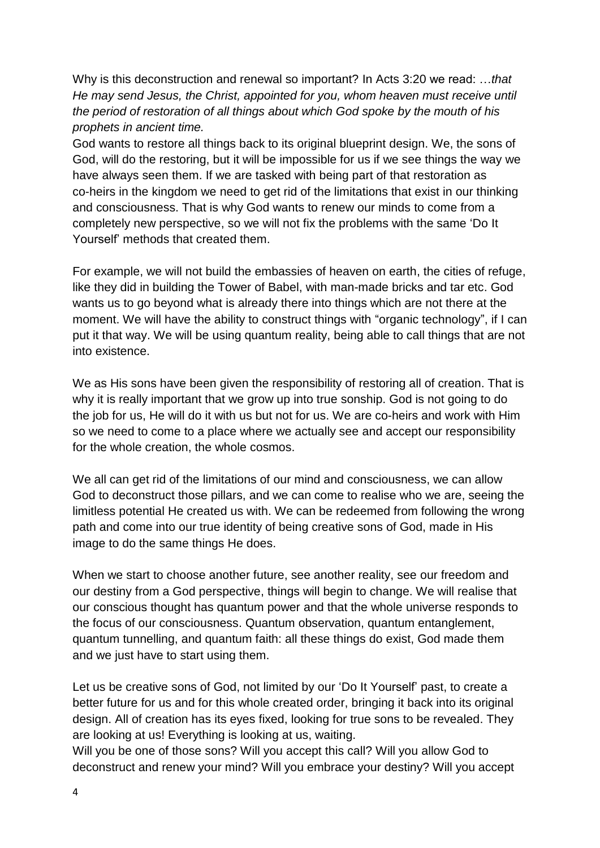Why is this deconstruction and renewal so important? In Acts 3:20 we read: …*that He may send Jesus, the Christ, appointed for you, whom heaven must receive until the period of restoration of all things about which God spoke by the mouth of his prophets in ancient time.* 

God wants to restore all things back to its original blueprint design. We, the sons of God, will do the restoring, but it will be impossible for us if we see things the way we have always seen them. If we are tasked with being part of that restoration as co-heirs in the kingdom we need to get rid of the limitations that exist in our thinking and consciousness. That is why God wants to renew our minds to come from a completely new perspective, so we will not fix the problems with the same 'Do It Yourself' methods that created them.

For example, we will not build the embassies of heaven on earth, the cities of refuge, like they did in building the Tower of Babel, with man-made bricks and tar etc. God wants us to go beyond what is already there into things which are not there at the moment. We will have the ability to construct things with "organic technology", if I can put it that way. We will be using quantum reality, being able to call things that are not into existence.

We as His sons have been given the responsibility of restoring all of creation. That is why it is really important that we grow up into true sonship. God is not going to do the job for us, He will do it with us but not for us. We are co-heirs and work with Him so we need to come to a place where we actually see and accept our responsibility for the whole creation, the whole cosmos.

We all can get rid of the limitations of our mind and consciousness, we can allow God to deconstruct those pillars, and we can come to realise who we are, seeing the limitless potential He created us with. We can be redeemed from following the wrong path and come into our true identity of being creative sons of God, made in His image to do the same things He does.

When we start to choose another future, see another reality, see our freedom and our destiny from a God perspective, things will begin to change. We will realise that our conscious thought has quantum power and that the whole universe responds to the focus of our consciousness. Quantum observation, quantum entanglement, quantum tunnelling, and quantum faith: all these things do exist, God made them and we just have to start using them.

Let us be creative sons of God, not limited by our 'Do It Yourself' past, to create a better future for us and for this whole created order, bringing it back into its original design. All of creation has its eyes fixed, looking for true sons to be revealed. They are looking at us! Everything is looking at us, waiting.

Will you be one of those sons? Will you accept this call? Will you allow God to deconstruct and renew your mind? Will you embrace your destiny? Will you accept